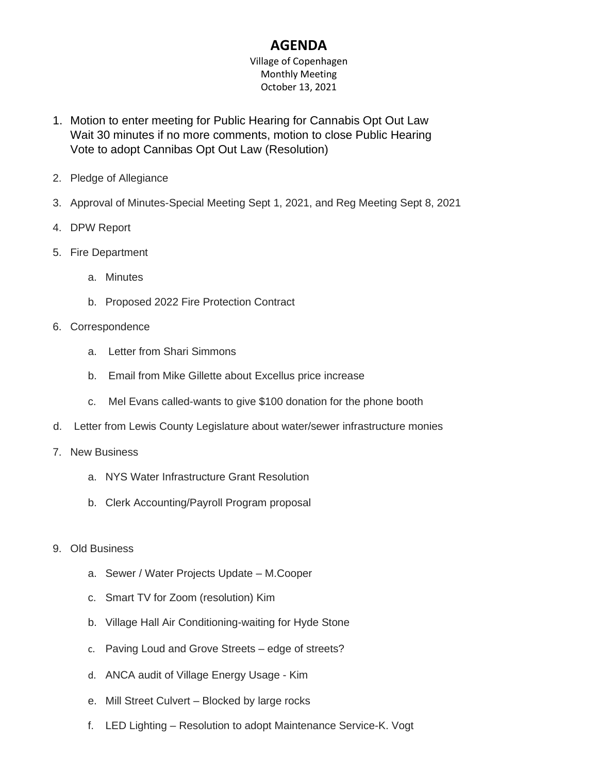## **AGENDA**

Village of Copenhagen Monthly Meeting October 13, 2021

- 1. Motion to enter meeting for Public Hearing for Cannabis Opt Out Law Wait 30 minutes if no more comments, motion to close Public Hearing Vote to adopt Cannibas Opt Out Law (Resolution)
- 2. Pledge of Allegiance
- 3. Approval of Minutes-Special Meeting Sept 1, 2021, and Reg Meeting Sept 8, 2021
- 4. DPW Report
- 5. Fire Department
	- a. Minutes
	- b. Proposed 2022 Fire Protection Contract
- 6. Correspondence
	- a. Letter from Shari Simmons
	- b. Email from Mike Gillette about Excellus price increase
	- c. Mel Evans called-wants to give \$100 donation for the phone booth
- d. Letter from Lewis County Legislature about water/sewer infrastructure monies
- 7. New Business
	- a. NYS Water Infrastructure Grant Resolution
	- b. Clerk Accounting/Payroll Program proposal
- 9. Old Business
	- a. Sewer / Water Projects Update M.Cooper
	- c. Smart TV for Zoom (resolution) Kim
	- b. Village Hall Air Conditioning-waiting for Hyde Stone
	- c. Paving Loud and Grove Streets edge of streets?
	- d. ANCA audit of Village Energy Usage Kim
	- e. Mill Street Culvert Blocked by large rocks
	- f. LED Lighting Resolution to adopt Maintenance Service-K. Vogt